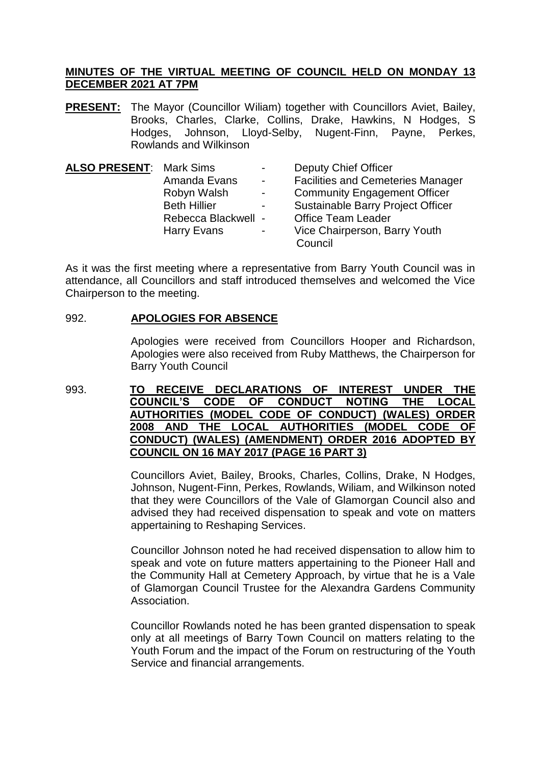## **MINUTES OF THE VIRTUAL MEETING OF COUNCIL HELD ON MONDAY 13 DECEMBER 2021 AT 7PM**

**PRESENT:** The Mayor (Councillor Wiliam) together with Councillors Aviet, Bailey, Brooks, Charles, Clarke, Collins, Drake, Hawkins, N Hodges, S Hodges, Johnson, Lloyd-Selby, Nugent-Finn, Payne, Perkes, Rowlands and Wilkinson

| <b>ALSO PRESENT: Mark Sims</b> |                     | $\sim$         | <b>Deputy Chief Officer</b>              |
|--------------------------------|---------------------|----------------|------------------------------------------|
|                                | Amanda Evans        | $\sim$         | <b>Facilities and Cemeteries Manager</b> |
|                                | Robyn Walsh         | $\sim$         | <b>Community Engagement Officer</b>      |
|                                | <b>Beth Hillier</b> | $\blacksquare$ | <b>Sustainable Barry Project Officer</b> |
|                                | Rebecca Blackwell - |                | <b>Office Team Leader</b>                |
|                                | Harry Evans         | $\blacksquare$ | Vice Chairperson, Barry Youth            |
|                                |                     |                | Council                                  |

As it was the first meeting where a representative from Barry Youth Council was in attendance, all Councillors and staff introduced themselves and welcomed the Vice Chairperson to the meeting.

## 992. **APOLOGIES FOR ABSENCE**

Apologies were received from Councillors Hooper and Richardson, Apologies were also received from Ruby Matthews, the Chairperson for Barry Youth Council

993. **TO RECEIVE DECLARATIONS OF INTEREST UNDER THE COUNCIL'S CODE OF CONDUCT NOTING THE LOCAL AUTHORITIES (MODEL CODE OF CONDUCT) (WALES) ORDER 2008 AND THE LOCAL AUTHORITIES (MODEL CODE OF CONDUCT) (WALES) (AMENDMENT) ORDER 2016 ADOPTED BY COUNCIL ON 16 MAY 2017 (PAGE 16 PART 3)**

> Councillors Aviet, Bailey, Brooks, Charles, Collins, Drake, N Hodges, Johnson, Nugent-Finn, Perkes, Rowlands, Wiliam, and Wilkinson noted that they were Councillors of the Vale of Glamorgan Council also and advised they had received dispensation to speak and vote on matters appertaining to Reshaping Services.

> Councillor Johnson noted he had received dispensation to allow him to speak and vote on future matters appertaining to the Pioneer Hall and the Community Hall at Cemetery Approach, by virtue that he is a Vale of Glamorgan Council Trustee for the Alexandra Gardens Community Association.

> Councillor Rowlands noted he has been granted dispensation to speak only at all meetings of Barry Town Council on matters relating to the Youth Forum and the impact of the Forum on restructuring of the Youth Service and financial arrangements.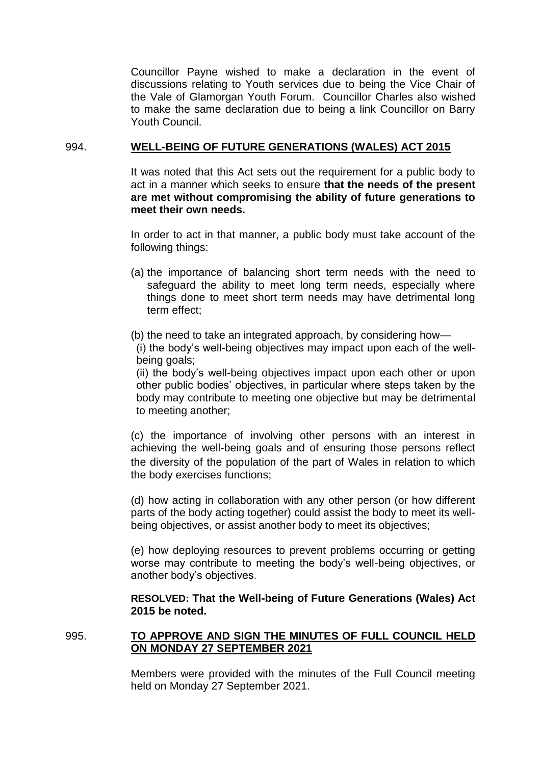Councillor Payne wished to make a declaration in the event of discussions relating to Youth services due to being the Vice Chair of the Vale of Glamorgan Youth Forum. Councillor Charles also wished to make the same declaration due to being a link Councillor on Barry Youth Council.

# 994. **WELL-BEING OF FUTURE GENERATIONS (WALES) ACT 2015**

It was noted that this Act sets out the requirement for a public body to act in a manner which seeks to ensure **that the needs of the present are met without compromising the ability of future generations to meet their own needs.**

In order to act in that manner, a public body must take account of the following things:

- (a) the importance of balancing short term needs with the need to safeguard the ability to meet long term needs, especially where things done to meet short term needs may have detrimental long term effect;
- (b) the need to take an integrated approach, by considering how— (i) the body's well-being objectives may impact upon each of the wellbeing goals;

(ii) the body's well-being objectives impact upon each other or upon other public bodies' objectives, in particular where steps taken by the body may contribute to meeting one objective but may be detrimental to meeting another;

(c) the importance of involving other persons with an interest in achieving the well-being goals and of ensuring those persons reflect the diversity of the population of the part of Wales in relation to which the body exercises functions;

(d) how acting in collaboration with any other person (or how different parts of the body acting together) could assist the body to meet its wellbeing objectives, or assist another body to meet its objectives;

(e) how deploying resources to prevent problems occurring or getting worse may contribute to meeting the body's well-being objectives, or another body's objectives.

## **RESOLVED: That the Well-being of Future Generations (Wales) Act 2015 be noted.**

## 995. **TO APPROVE AND SIGN THE MINUTES OF FULL COUNCIL HELD ON MONDAY 27 SEPTEMBER 2021**

Members were provided with the minutes of the Full Council meeting held on Monday 27 September 2021.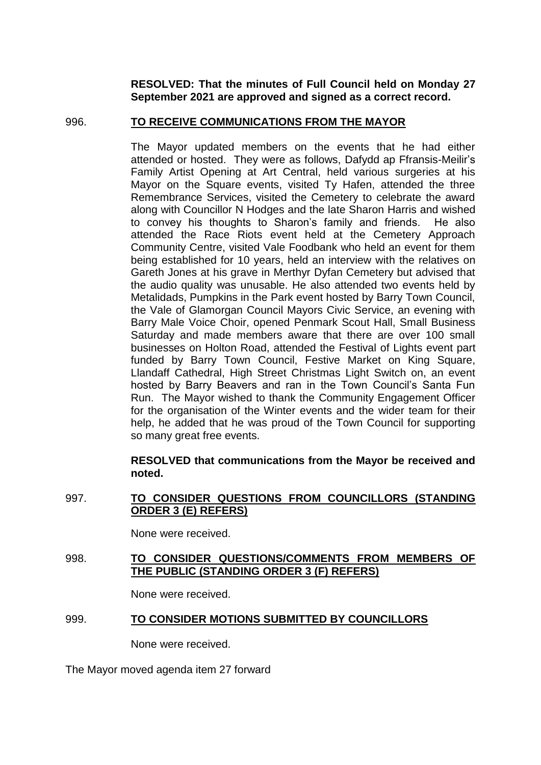**RESOLVED: That the minutes of Full Council held on Monday 27 September 2021 are approved and signed as a correct record.**

## 996. **TO RECEIVE COMMUNICATIONS FROM THE MAYOR**

The Mayor updated members on the events that he had either attended or hosted. They were as follows, Dafydd ap Ffransis-Meilir's Family Artist Opening at Art Central, held various surgeries at his Mayor on the Square events, visited Ty Hafen, attended the three Remembrance Services, visited the Cemetery to celebrate the award along with Councillor N Hodges and the late Sharon Harris and wished to convey his thoughts to Sharon's family and friends. He also attended the Race Riots event held at the Cemetery Approach Community Centre, visited Vale Foodbank who held an event for them being established for 10 years, held an interview with the relatives on Gareth Jones at his grave in Merthyr Dyfan Cemetery but advised that the audio quality was unusable. He also attended two events held by Metalidads, Pumpkins in the Park event hosted by Barry Town Council, the Vale of Glamorgan Council Mayors Civic Service, an evening with Barry Male Voice Choir, opened Penmark Scout Hall, Small Business Saturday and made members aware that there are over 100 small businesses on Holton Road, attended the Festival of Lights event part funded by Barry Town Council, Festive Market on King Square, Llandaff Cathedral, High Street Christmas Light Switch on, an event hosted by Barry Beavers and ran in the Town Council's Santa Fun Run. The Mayor wished to thank the Community Engagement Officer for the organisation of the Winter events and the wider team for their help, he added that he was proud of the Town Council for supporting so many great free events.

## **RESOLVED that communications from the Mayor be received and noted.**

997. **TO CONSIDER QUESTIONS FROM COUNCILLORS (STANDING ORDER 3 (E) REFERS)**

None were received.

998. **TO CONSIDER QUESTIONS/COMMENTS FROM MEMBERS OF THE PUBLIC (STANDING ORDER 3 (F) REFERS)**

None were received.

# 999. **TO CONSIDER MOTIONS SUBMITTED BY COUNCILLORS**

None were received.

The Mayor moved agenda item 27 forward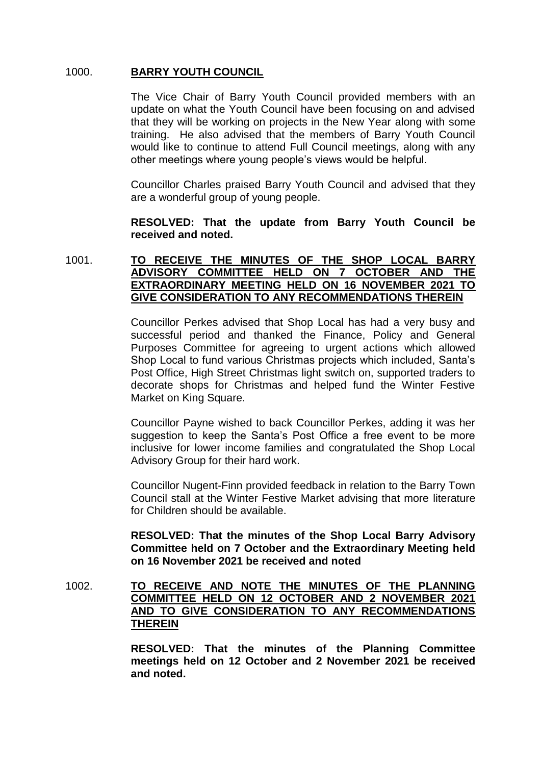# 1000. **BARRY YOUTH COUNCIL**

The Vice Chair of Barry Youth Council provided members with an update on what the Youth Council have been focusing on and advised that they will be working on projects in the New Year along with some training. He also advised that the members of Barry Youth Council would like to continue to attend Full Council meetings, along with any other meetings where young people's views would be helpful.

Councillor Charles praised Barry Youth Council and advised that they are a wonderful group of young people.

# **RESOLVED: That the update from Barry Youth Council be received and noted.**

# 1001. **TO RECEIVE THE MINUTES OF THE SHOP LOCAL BARRY ADVISORY COMMITTEE HELD ON 7 OCTOBER AND THE EXTRAORDINARY MEETING HELD ON 16 NOVEMBER 2021 TO GIVE CONSIDERATION TO ANY RECOMMENDATIONS THEREIN**

Councillor Perkes advised that Shop Local has had a very busy and successful period and thanked the Finance, Policy and General Purposes Committee for agreeing to urgent actions which allowed Shop Local to fund various Christmas projects which included, Santa's Post Office, High Street Christmas light switch on, supported traders to decorate shops for Christmas and helped fund the Winter Festive Market on King Square.

Councillor Payne wished to back Councillor Perkes, adding it was her suggestion to keep the Santa's Post Office a free event to be more inclusive for lower income families and congratulated the Shop Local Advisory Group for their hard work.

Councillor Nugent-Finn provided feedback in relation to the Barry Town Council stall at the Winter Festive Market advising that more literature for Children should be available.

**RESOLVED: That the minutes of the Shop Local Barry Advisory Committee held on 7 October and the Extraordinary Meeting held on 16 November 2021 be received and noted**

# 1002. **TO RECEIVE AND NOTE THE MINUTES OF THE PLANNING COMMITTEE HELD ON 12 OCTOBER AND 2 NOVEMBER 2021 AND TO GIVE CONSIDERATION TO ANY RECOMMENDATIONS THEREIN**

**RESOLVED: That the minutes of the Planning Committee meetings held on 12 October and 2 November 2021 be received and noted.**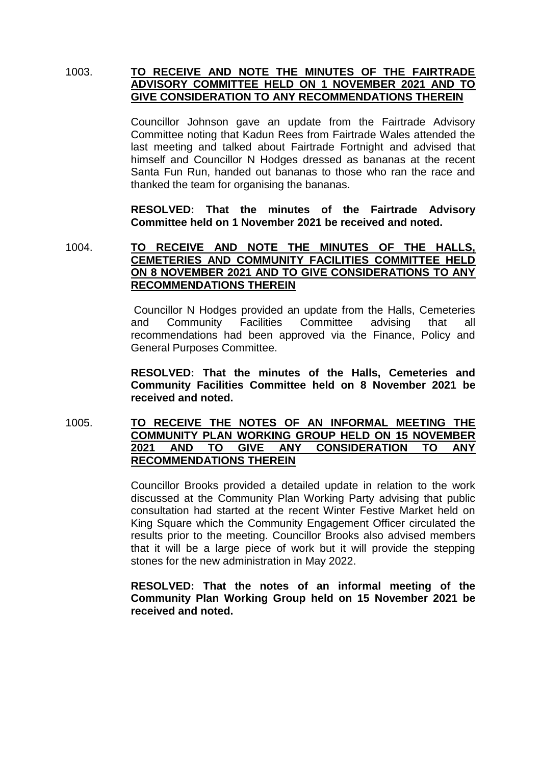# 1003. **TO RECEIVE AND NOTE THE MINUTES OF THE FAIRTRADE ADVISORY COMMITTEE HELD ON 1 NOVEMBER 2021 AND TO GIVE CONSIDERATION TO ANY RECOMMENDATIONS THEREIN**

Councillor Johnson gave an update from the Fairtrade Advisory Committee noting that Kadun Rees from Fairtrade Wales attended the last meeting and talked about Fairtrade Fortnight and advised that himself and Councillor N Hodges dressed as bananas at the recent Santa Fun Run, handed out bananas to those who ran the race and thanked the team for organising the bananas.

**RESOLVED: That the minutes of the Fairtrade Advisory Committee held on 1 November 2021 be received and noted.** 

## 1004. **TO RECEIVE AND NOTE THE MINUTES OF THE HALLS, CEMETERIES AND COMMUNITY FACILITIES COMMITTEE HELD ON 8 NOVEMBER 2021 AND TO GIVE CONSIDERATIONS TO ANY RECOMMENDATIONS THEREIN**

Councillor N Hodges provided an update from the Halls, Cemeteries and Community Facilities Committee advising that all recommendations had been approved via the Finance, Policy and General Purposes Committee.

**RESOLVED: That the minutes of the Halls, Cemeteries and Community Facilities Committee held on 8 November 2021 be received and noted.** 

# 1005. **TO RECEIVE THE NOTES OF AN INFORMAL MEETING THE COMMUNITY PLAN WORKING GROUP HELD ON 15 NOVEMBER 2021 AND TO GIVE ANY CONSIDERATION TO ANY RECOMMENDATIONS THEREIN**

Councillor Brooks provided a detailed update in relation to the work discussed at the Community Plan Working Party advising that public consultation had started at the recent Winter Festive Market held on King Square which the Community Engagement Officer circulated the results prior to the meeting. Councillor Brooks also advised members that it will be a large piece of work but it will provide the stepping stones for the new administration in May 2022.

## **RESOLVED: That the notes of an informal meeting of the Community Plan Working Group held on 15 November 2021 be received and noted.**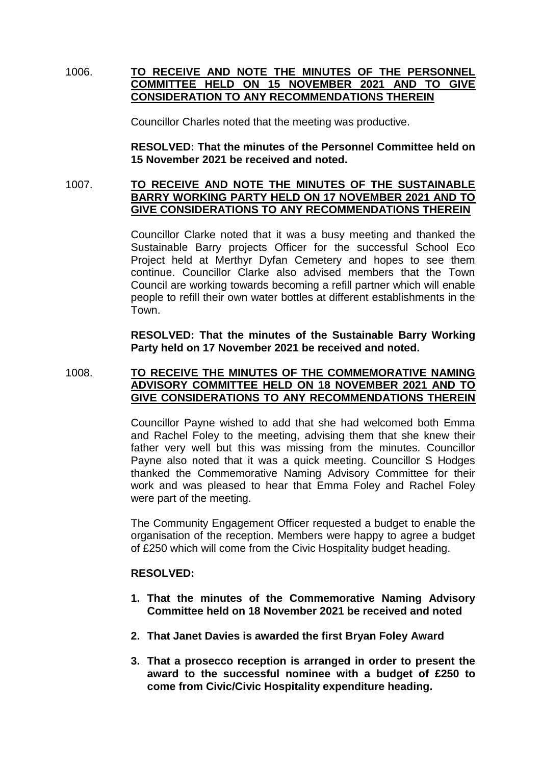# 1006. **TO RECEIVE AND NOTE THE MINUTES OF THE PERSONNEL COMMITTEE HELD ON 15 NOVEMBER 2021 AND TO GIVE CONSIDERATION TO ANY RECOMMENDATIONS THEREIN**

Councillor Charles noted that the meeting was productive.

**RESOLVED: That the minutes of the Personnel Committee held on 15 November 2021 be received and noted.** 

## 1007. **TO RECEIVE AND NOTE THE MINUTES OF THE SUSTAINABLE BARRY WORKING PARTY HELD ON 17 NOVEMBER 2021 AND TO GIVE CONSIDERATIONS TO ANY RECOMMENDATIONS THEREIN**

Councillor Clarke noted that it was a busy meeting and thanked the Sustainable Barry projects Officer for the successful School Eco Project held at Merthyr Dyfan Cemetery and hopes to see them continue. Councillor Clarke also advised members that the Town Council are working towards becoming a refill partner which will enable people to refill their own water bottles at different establishments in the Town.

**RESOLVED: That the minutes of the Sustainable Barry Working Party held on 17 November 2021 be received and noted.** 

# 1008. **TO RECEIVE THE MINUTES OF THE COMMEMORATIVE NAMING ADVISORY COMMITTEE HELD ON 18 NOVEMBER 2021 AND TO GIVE CONSIDERATIONS TO ANY RECOMMENDATIONS THEREIN**

Councillor Payne wished to add that she had welcomed both Emma and Rachel Foley to the meeting, advising them that she knew their father very well but this was missing from the minutes. Councillor Payne also noted that it was a quick meeting. Councillor S Hodges thanked the Commemorative Naming Advisory Committee for their work and was pleased to hear that Emma Foley and Rachel Foley were part of the meeting.

The Community Engagement Officer requested a budget to enable the organisation of the reception. Members were happy to agree a budget of £250 which will come from the Civic Hospitality budget heading.

# **RESOLVED:**

- **1. That the minutes of the Commemorative Naming Advisory Committee held on 18 November 2021 be received and noted**
- **2. That Janet Davies is awarded the first Bryan Foley Award**
- **3. That a prosecco reception is arranged in order to present the award to the successful nominee with a budget of £250 to come from Civic/Civic Hospitality expenditure heading.**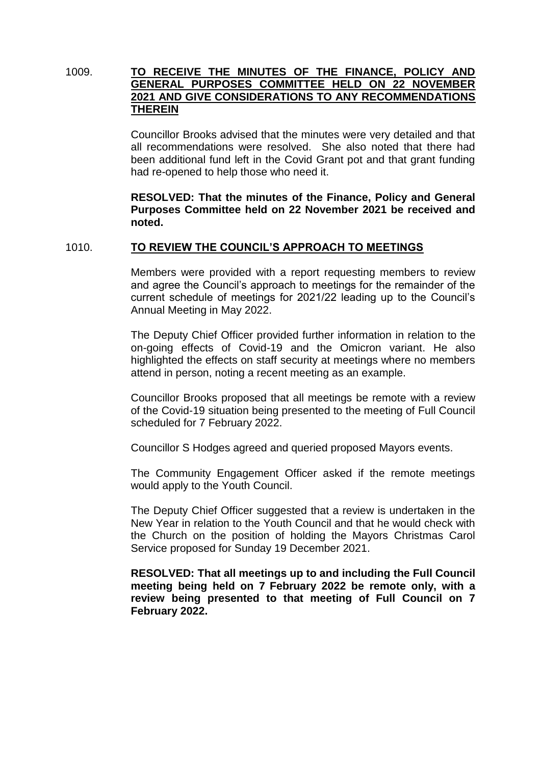# 1009. **TO RECEIVE THE MINUTES OF THE FINANCE, POLICY AND GENERAL PURPOSES COMMITTEE HELD ON 22 NOVEMBER 2021 AND GIVE CONSIDERATIONS TO ANY RECOMMENDATIONS THEREIN**

Councillor Brooks advised that the minutes were very detailed and that all recommendations were resolved. She also noted that there had been additional fund left in the Covid Grant pot and that grant funding had re-opened to help those who need it.

**RESOLVED: That the minutes of the Finance, Policy and General Purposes Committee held on 22 November 2021 be received and noted.** 

#### 1010. **TO REVIEW THE COUNCIL'S APPROACH TO MEETINGS**

Members were provided with a report requesting members to review and agree the Council's approach to meetings for the remainder of the current schedule of meetings for 2021/22 leading up to the Council's Annual Meeting in May 2022.

The Deputy Chief Officer provided further information in relation to the on-going effects of Covid-19 and the Omicron variant. He also highlighted the effects on staff security at meetings where no members attend in person, noting a recent meeting as an example.

Councillor Brooks proposed that all meetings be remote with a review of the Covid-19 situation being presented to the meeting of Full Council scheduled for 7 February 2022.

Councillor S Hodges agreed and queried proposed Mayors events.

The Community Engagement Officer asked if the remote meetings would apply to the Youth Council.

The Deputy Chief Officer suggested that a review is undertaken in the New Year in relation to the Youth Council and that he would check with the Church on the position of holding the Mayors Christmas Carol Service proposed for Sunday 19 December 2021.

**RESOLVED: That all meetings up to and including the Full Council meeting being held on 7 February 2022 be remote only, with a review being presented to that meeting of Full Council on 7 February 2022.**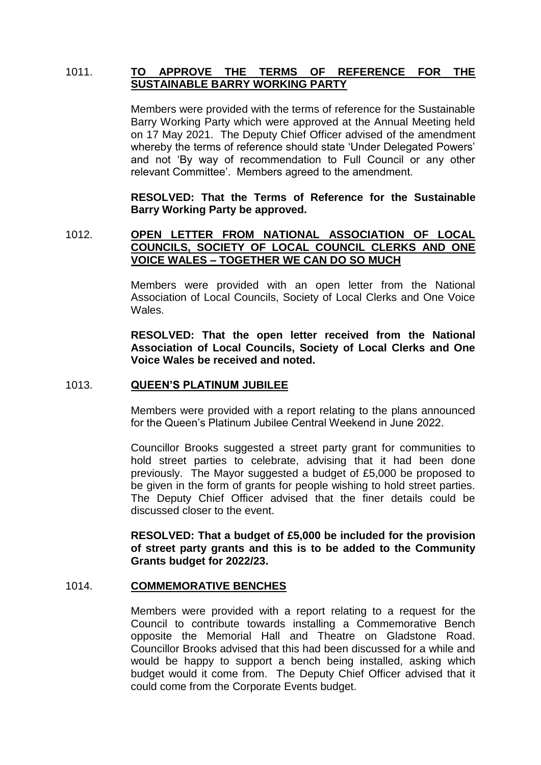# 1011. **TO APPROVE THE TERMS OF REFERENCE FOR THE SUSTAINABLE BARRY WORKING PARTY**

Members were provided with the terms of reference for the Sustainable Barry Working Party which were approved at the Annual Meeting held on 17 May 2021. The Deputy Chief Officer advised of the amendment whereby the terms of reference should state 'Under Delegated Powers' and not 'By way of recommendation to Full Council or any other relevant Committee'. Members agreed to the amendment.

**RESOLVED: That the Terms of Reference for the Sustainable Barry Working Party be approved.** 

# 1012. **OPEN LETTER FROM NATIONAL ASSOCIATION OF LOCAL COUNCILS, SOCIETY OF LOCAL COUNCIL CLERKS AND ONE VOICE WALES – TOGETHER WE CAN DO SO MUCH**

Members were provided with an open letter from the National Association of Local Councils, Society of Local Clerks and One Voice Wales.

**RESOLVED: That the open letter received from the National Association of Local Councils, Society of Local Clerks and One Voice Wales be received and noted.** 

#### 1013. **QUEEN'S PLATINUM JUBILEE**

Members were provided with a report relating to the plans announced for the Queen's Platinum Jubilee Central Weekend in June 2022.

Councillor Brooks suggested a street party grant for communities to hold street parties to celebrate, advising that it had been done previously. The Mayor suggested a budget of £5,000 be proposed to be given in the form of grants for people wishing to hold street parties. The Deputy Chief Officer advised that the finer details could be discussed closer to the event.

**RESOLVED: That a budget of £5,000 be included for the provision of street party grants and this is to be added to the Community Grants budget for 2022/23.**

#### 1014. **COMMEMORATIVE BENCHES**

Members were provided with a report relating to a request for the Council to contribute towards installing a Commemorative Bench opposite the Memorial Hall and Theatre on Gladstone Road. Councillor Brooks advised that this had been discussed for a while and would be happy to support a bench being installed, asking which budget would it come from. The Deputy Chief Officer advised that it could come from the Corporate Events budget.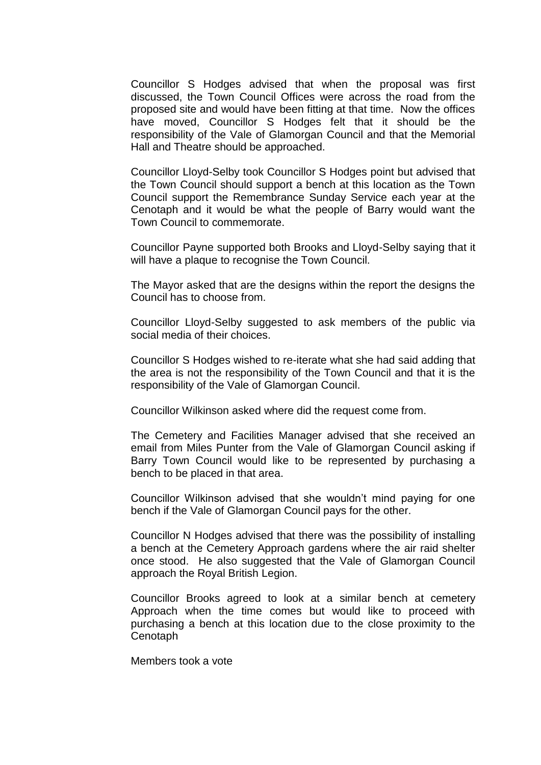Councillor S Hodges advised that when the proposal was first discussed, the Town Council Offices were across the road from the proposed site and would have been fitting at that time. Now the offices have moved, Councillor S Hodges felt that it should be the responsibility of the Vale of Glamorgan Council and that the Memorial Hall and Theatre should be approached.

Councillor Lloyd-Selby took Councillor S Hodges point but advised that the Town Council should support a bench at this location as the Town Council support the Remembrance Sunday Service each year at the Cenotaph and it would be what the people of Barry would want the Town Council to commemorate.

Councillor Payne supported both Brooks and Lloyd-Selby saying that it will have a plaque to recognise the Town Council.

The Mayor asked that are the designs within the report the designs the Council has to choose from.

Councillor Lloyd-Selby suggested to ask members of the public via social media of their choices.

Councillor S Hodges wished to re-iterate what she had said adding that the area is not the responsibility of the Town Council and that it is the responsibility of the Vale of Glamorgan Council.

Councillor Wilkinson asked where did the request come from.

The Cemetery and Facilities Manager advised that she received an email from Miles Punter from the Vale of Glamorgan Council asking if Barry Town Council would like to be represented by purchasing a bench to be placed in that area.

Councillor Wilkinson advised that she wouldn't mind paying for one bench if the Vale of Glamorgan Council pays for the other.

Councillor N Hodges advised that there was the possibility of installing a bench at the Cemetery Approach gardens where the air raid shelter once stood. He also suggested that the Vale of Glamorgan Council approach the Royal British Legion.

Councillor Brooks agreed to look at a similar bench at cemetery Approach when the time comes but would like to proceed with purchasing a bench at this location due to the close proximity to the Cenotaph

Members took a vote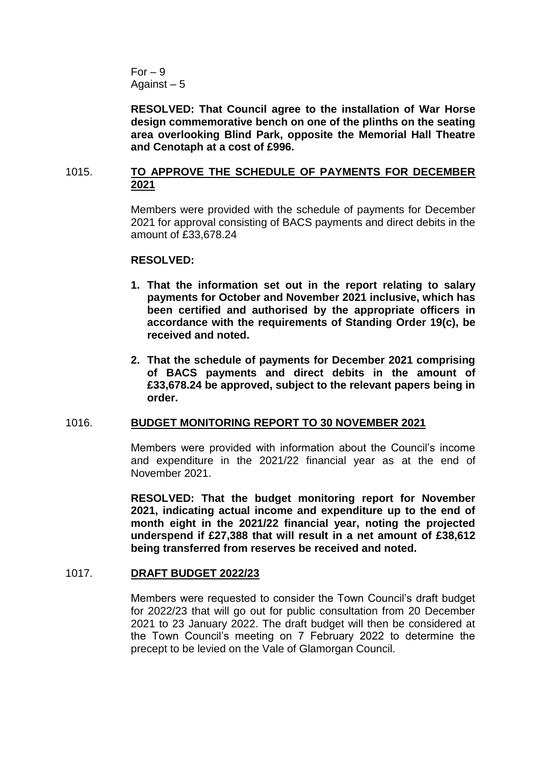$For - 9$ Against – 5

**RESOLVED: That Council agree to the installation of War Horse design commemorative bench on one of the plinths on the seating area overlooking Blind Park, opposite the Memorial Hall Theatre and Cenotaph at a cost of £996.** 

# 1015. **TO APPROVE THE SCHEDULE OF PAYMENTS FOR DECEMBER 2021**

Members were provided with the schedule of payments for December 2021 for approval consisting of BACS payments and direct debits in the amount of £33,678.24

#### **RESOLVED:**

- **1. That the information set out in the report relating to salary payments for October and November 2021 inclusive, which has been certified and authorised by the appropriate officers in accordance with the requirements of Standing Order 19(c), be received and noted.**
- **2. That the schedule of payments for December 2021 comprising of BACS payments and direct debits in the amount of £33,678.24 be approved, subject to the relevant papers being in order.**

# 1016. **BUDGET MONITORING REPORT TO 30 NOVEMBER 2021**

Members were provided with information about the Council's income and expenditure in the 2021/22 financial year as at the end of November 2021.

**RESOLVED: That the budget monitoring report for November 2021, indicating actual income and expenditure up to the end of month eight in the 2021/22 financial year, noting the projected underspend if £27,388 that will result in a net amount of £38,612 being transferred from reserves be received and noted.**

# 1017. **DRAFT BUDGET 2022/23**

Members were requested to consider the Town Council's draft budget for 2022/23 that will go out for public consultation from 20 December 2021 to 23 January 2022. The draft budget will then be considered at the Town Council's meeting on 7 February 2022 to determine the precept to be levied on the Vale of Glamorgan Council.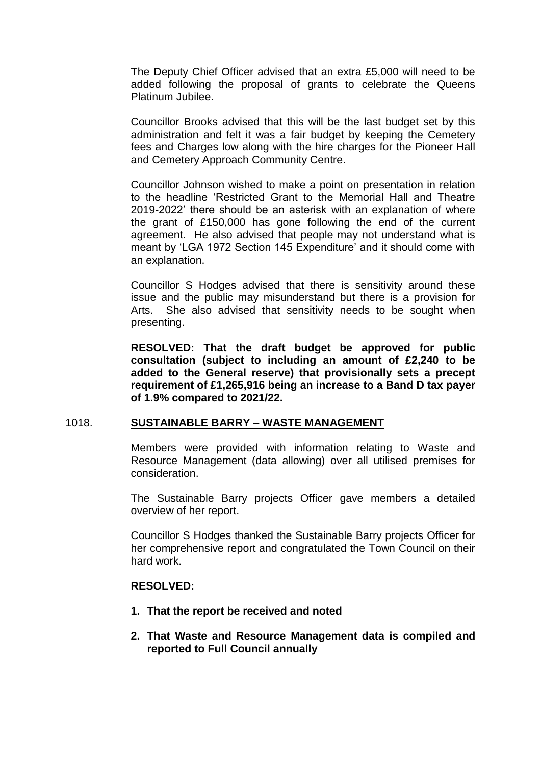The Deputy Chief Officer advised that an extra £5,000 will need to be added following the proposal of grants to celebrate the Queens Platinum Jubilee.

Councillor Brooks advised that this will be the last budget set by this administration and felt it was a fair budget by keeping the Cemetery fees and Charges low along with the hire charges for the Pioneer Hall and Cemetery Approach Community Centre.

Councillor Johnson wished to make a point on presentation in relation to the headline 'Restricted Grant to the Memorial Hall and Theatre 2019-2022' there should be an asterisk with an explanation of where the grant of £150,000 has gone following the end of the current agreement. He also advised that people may not understand what is meant by 'LGA 1972 Section 145 Expenditure' and it should come with an explanation.

Councillor S Hodges advised that there is sensitivity around these issue and the public may misunderstand but there is a provision for Arts. She also advised that sensitivity needs to be sought when presenting.

**RESOLVED: That the draft budget be approved for public consultation (subject to including an amount of £2,240 to be added to the General reserve) that provisionally sets a precept requirement of £1,265,916 being an increase to a Band D tax payer of 1.9% compared to 2021/22.** 

#### 1018. **SUSTAINABLE BARRY – WASTE MANAGEMENT**

Members were provided with information relating to Waste and Resource Management (data allowing) over all utilised premises for consideration.

The Sustainable Barry projects Officer gave members a detailed overview of her report.

Councillor S Hodges thanked the Sustainable Barry projects Officer for her comprehensive report and congratulated the Town Council on their hard work.

#### **RESOLVED:**

- **1. That the report be received and noted**
- **2. That Waste and Resource Management data is compiled and reported to Full Council annually**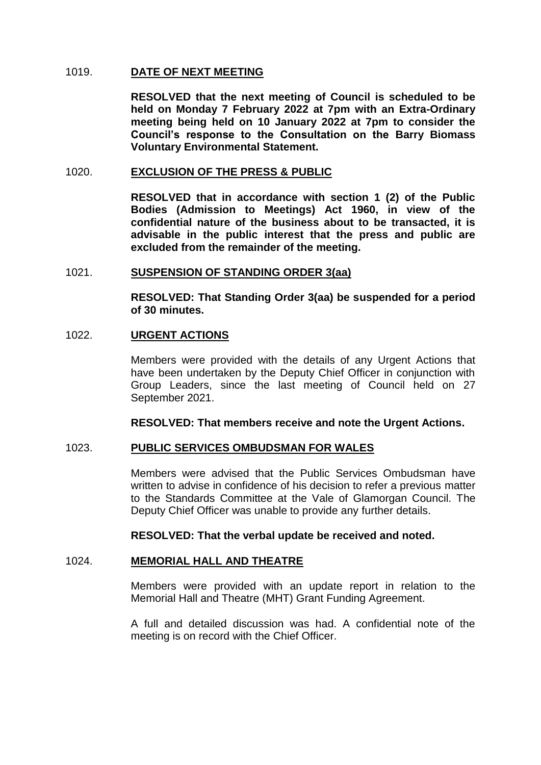#### 1019. **DATE OF NEXT MEETING**

**RESOLVED that the next meeting of Council is scheduled to be held on Monday 7 February 2022 at 7pm with an Extra-Ordinary meeting being held on 10 January 2022 at 7pm to consider the Council's response to the Consultation on the Barry Biomass Voluntary Environmental Statement.**

#### 1020. **EXCLUSION OF THE PRESS & PUBLIC**

**RESOLVED that in accordance with section 1 (2) of the Public Bodies (Admission to Meetings) Act 1960, in view of the confidential nature of the business about to be transacted, it is advisable in the public interest that the press and public are excluded from the remainder of the meeting.**

## 1021. **SUSPENSION OF STANDING ORDER 3(aa)**

**RESOLVED: That Standing Order 3(aa) be suspended for a period of 30 minutes.**

## 1022. **URGENT ACTIONS**

Members were provided with the details of any Urgent Actions that have been undertaken by the Deputy Chief Officer in conjunction with Group Leaders, since the last meeting of Council held on 27 September 2021.

**RESOLVED: That members receive and note the Urgent Actions.**

#### 1023. **PUBLIC SERVICES OMBUDSMAN FOR WALES**

Members were advised that the Public Services Ombudsman have written to advise in confidence of his decision to refer a previous matter to the Standards Committee at the Vale of Glamorgan Council. The Deputy Chief Officer was unable to provide any further details.

#### **RESOLVED: That the verbal update be received and noted.**

# 1024. **MEMORIAL HALL AND THEATRE**

Members were provided with an update report in relation to the Memorial Hall and Theatre (MHT) Grant Funding Agreement.

A full and detailed discussion was had. A confidential note of the meeting is on record with the Chief Officer.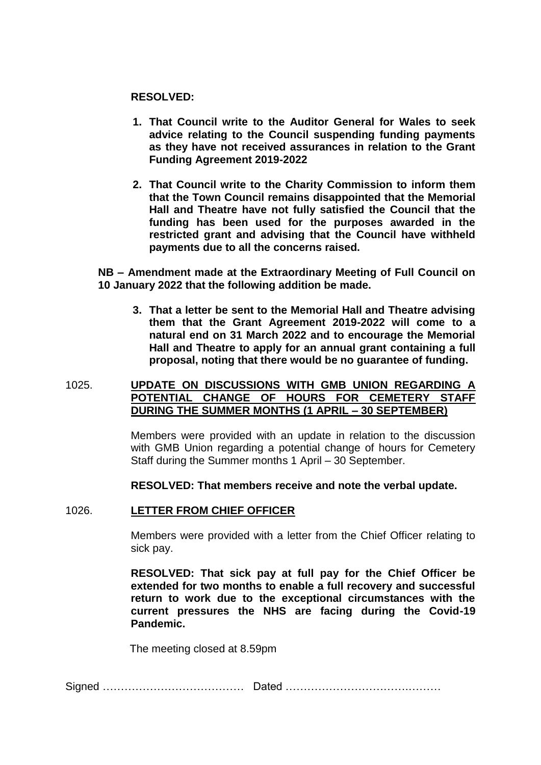#### **RESOLVED:**

- **1. That Council write to the Auditor General for Wales to seek advice relating to the Council suspending funding payments as they have not received assurances in relation to the Grant Funding Agreement 2019-2022**
- **2. That Council write to the Charity Commission to inform them that the Town Council remains disappointed that the Memorial Hall and Theatre have not fully satisfied the Council that the funding has been used for the purposes awarded in the restricted grant and advising that the Council have withheld payments due to all the concerns raised.**

**NB – Amendment made at the Extraordinary Meeting of Full Council on 10 January 2022 that the following addition be made.** 

**3. That a letter be sent to the Memorial Hall and Theatre advising them that the Grant Agreement 2019-2022 will come to a natural end on 31 March 2022 and to encourage the Memorial Hall and Theatre to apply for an annual grant containing a full proposal, noting that there would be no guarantee of funding.**

### 1025. **UPDATE ON DISCUSSIONS WITH GMB UNION REGARDING A POTENTIAL CHANGE OF HOURS FOR CEMETERY STAFF DURING THE SUMMER MONTHS (1 APRIL – 30 SEPTEMBER)**

Members were provided with an update in relation to the discussion with GMB Union regarding a potential change of hours for Cemetery Staff during the Summer months 1 April – 30 September.

**RESOLVED: That members receive and note the verbal update.** 

#### 1026. **LETTER FROM CHIEF OFFICER**

Members were provided with a letter from the Chief Officer relating to sick pay.

**RESOLVED: That sick pay at full pay for the Chief Officer be extended for two months to enable a full recovery and successful return to work due to the exceptional circumstances with the current pressures the NHS are facing during the Covid-19 Pandemic.**

The meeting closed at 8.59pm

Signed ………………………………… Dated …………………………….………